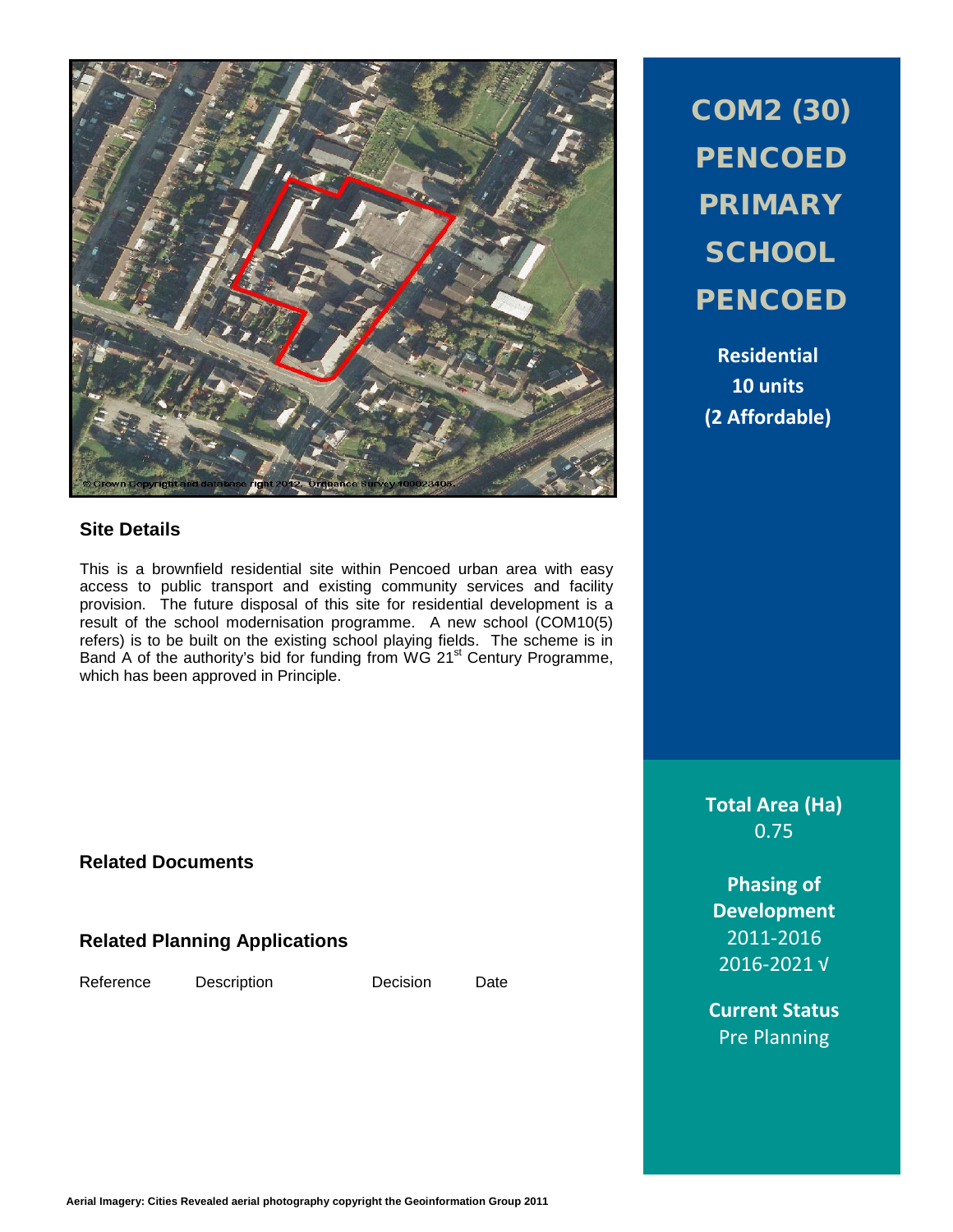

#### **Site Details**

This is a brownfield residential site within Pencoed urban area with easy access to public transport and existing community services and facility provision. The future disposal of this site for residential development is a result of the school modernisation programme. A new school (COM10(5) refers) is to be built on the existing school playing fields. The scheme is in Band A of the authority's bid for funding from WG 21<sup>st</sup> Century Programme, which has been approved in Principle.

COM2 (30) **PENCOED** PRIMARY **SCHOOL PENCOED** 

**Residential 10 units (2 Affordable)**

**Total Area (Ha)** 0.75

**Phasing of Development** 2011-2016 2016-2021 √

**Current Status** Pre Planning

**Related Documents**

# **Related Planning Applications**

Reference Description Decision Date